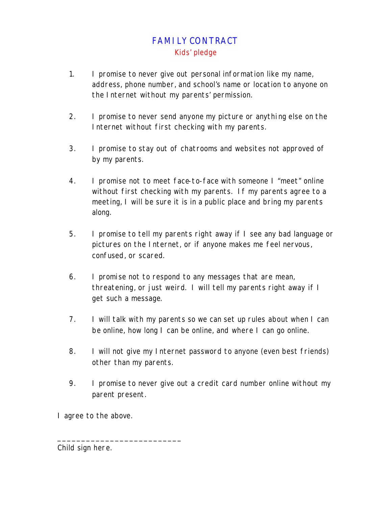## FAMILY CONTRACT Kids' pledge

- 1. I promise to never give out personal information like my name, address, phone number, and school's name or location to anyone on the Internet without my parents' permission.
- 2. I promise to never send anyone my picture or anything else on the Internet without first checking with my parents.
- 3. I promise to stay out of chatrooms and websites not approved of by my parents.
- 4. I promise not to meet face-to-face with someone I "meet" online without first checking with my parents. If my parents agree to a meeting, I will be sure it is in a public place and bring my parents along.
- 5. I promise to tell my parents right away if I see any bad language or pictures on the Internet, or if anyone makes me feel nervous, confused, or scared.
- 6. I promise not to respond to any messages that are mean, threatening, or just weird. I will tell my parents right away if I get such a message.
- 7. I will talk with my parents so we can set up rules about when I can be online, how long I can be online, and where I can go online.
- 8. I will not give my Internet password to anyone (even best friends) other than my parents.
- 9. I promise to never give out a credit card number online without my parent present.

I agree to the above.

\_\_\_\_\_\_\_\_\_\_\_\_\_\_\_\_\_\_\_\_\_\_\_\_\_\_

Child sign here.